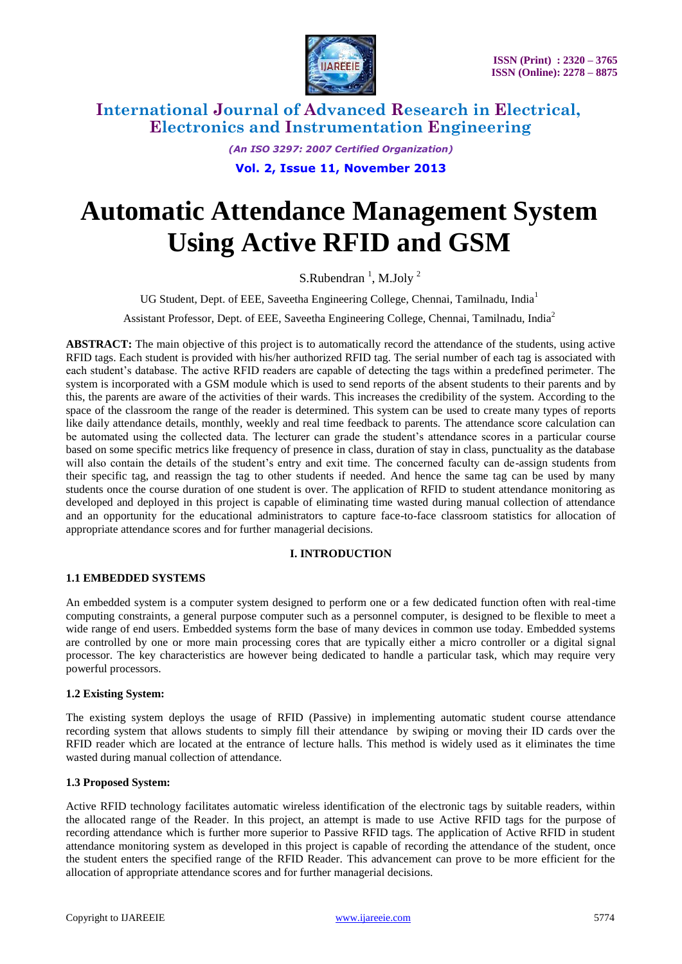

> *(An ISO 3297: 2007 Certified Organization)* **Vol. 2, Issue 11, November 2013**

# **Automatic Attendance Management System Using Active RFID and GSM**

S.Rubendran<sup>1</sup>, M.Joly<sup>2</sup>

UG Student, Dept. of EEE, Saveetha Engineering College, Chennai, Tamilnadu, India<sup>1</sup>

Assistant Professor, Dept. of EEE, Saveetha Engineering College, Chennai, Tamilnadu, India<sup>2</sup>

**ABSTRACT:** The main objective of this project is to automatically record the attendance of the students, using active RFID tags. Each student is provided with his/her authorized RFID tag. The serial number of each tag is associated with each student's database. The active RFID readers are capable of detecting the tags within a predefined perimeter. The system is incorporated with a GSM module which is used to send reports of the absent students to their parents and by this, the parents are aware of the activities of their wards. This increases the credibility of the system. According to the space of the classroom the range of the reader is determined. This system can be used to create many types of reports like daily attendance details, monthly, weekly and real time feedback to parents. The attendance score calculation can be automated using the collected data. The lecturer can grade the student's attendance scores in a particular course based on some specific metrics like frequency of presence in class, duration of stay in class, punctuality as the database will also contain the details of the student's entry and exit time. The concerned faculty can de-assign students from their specific tag, and reassign the tag to other students if needed. And hence the same tag can be used by many students once the course duration of one student is over. The application of RFID to student attendance monitoring as developed and deployed in this project is capable of eliminating time wasted during manual collection of attendance and an opportunity for the educational administrators to capture face-to-face classroom statistics for allocation of appropriate attendance scores and for further managerial decisions.

# **I. INTRODUCTION**

# **1.1 EMBEDDED SYSTEMS**

An embedded system is a computer system designed to perform one or a few dedicated function often with real-time computing constraints, a general purpose computer such as a personnel computer, is designed to be flexible to meet a wide range of end users. Embedded systems form the base of many devices in common use today. Embedded systems are controlled by one or more main processing cores that are typically either a micro controller or a digital signal processor. The key characteristics are however being dedicated to handle a particular task, which may require very powerful processors.

# **1.2 Existing System:**

The existing system deploys the usage of RFID (Passive) in implementing automatic student course attendance recording system that allows students to simply fill their attendance by swiping or moving their ID cards over the RFID reader which are located at the entrance of lecture halls. This method is widely used as it eliminates the time wasted during manual collection of attendance.

#### **1.3 Proposed System:**

Active RFID technology facilitates automatic wireless identification of the electronic tags by suitable readers, within the allocated range of the Reader. In this project, an attempt is made to use Active RFID tags for the purpose of recording attendance which is further more superior to Passive RFID tags. The application of Active RFID in student attendance monitoring system as developed in this project is capable of recording the attendance of the student, once the student enters the specified range of the RFID Reader. This advancement can prove to be more efficient for the allocation of appropriate attendance scores and for further managerial decisions.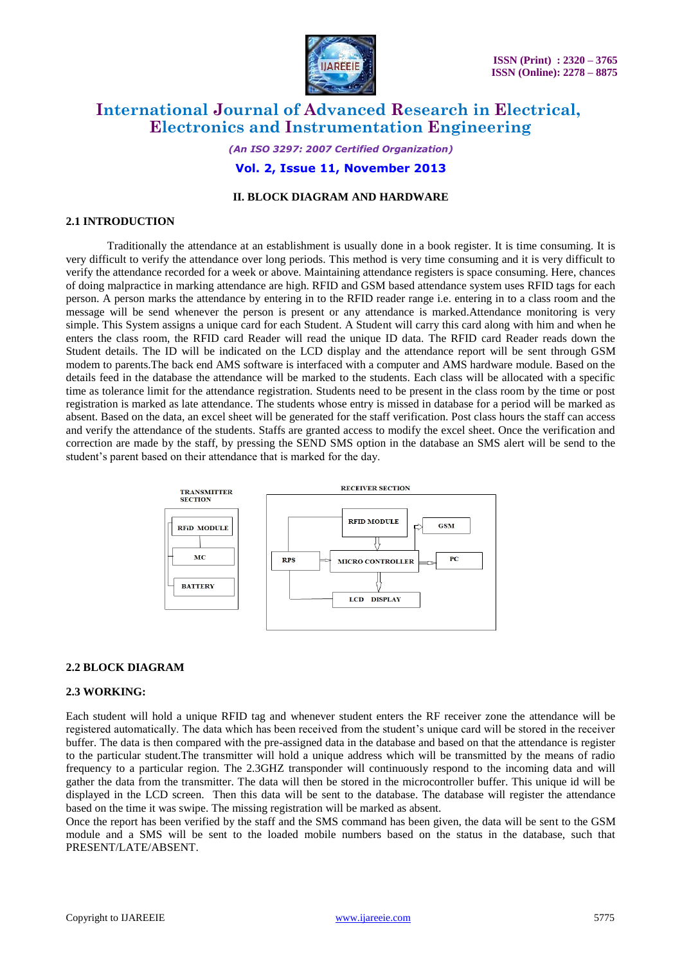

*(An ISO 3297: 2007 Certified Organization)* **Vol. 2, Issue 11, November 2013**

# **II. BLOCK DIAGRAM AND HARDWARE**

#### **2.1 INTRODUCTION**

Traditionally the attendance at an establishment is usually done in a book register. It is time consuming. It is very difficult to verify the attendance over long periods. This method is very time consuming and it is very difficult to verify the attendance recorded for a week or above. Maintaining attendance registers is space consuming. Here, chances of doing malpractice in marking attendance are high. RFID and GSM based attendance system uses RFID tags for each person. A person marks the attendance by entering in to the RFID reader range i.e. entering in to a class room and the message will be send whenever the person is present or any attendance is marked.Attendance monitoring is very simple. This System assigns a unique card for each Student. A Student will carry this card along with him and when he enters the class room, the RFID card Reader will read the unique ID data. The RFID card Reader reads down the Student details. The ID will be indicated on the LCD display and the attendance report will be sent through GSM modem to parents.The back end AMS software is interfaced with a computer and AMS hardware module. Based on the details feed in the database the attendance will be marked to the students. Each class will be allocated with a specific time as tolerance limit for the attendance registration. Students need to be present in the class room by the time or post registration is marked as late attendance. The students whose entry is missed in database for a period will be marked as absent. Based on the data, an excel sheet will be generated for the staff verification. Post class hours the staff can access and verify the attendance of the students. Staffs are granted access to modify the excel sheet. Once the verification and correction are made by the staff, by pressing the SEND SMS option in the database an SMS alert will be send to the student's parent based on their attendance that is marked for the day.



#### **2.2 BLOCK DIAGRAM**

#### **2.3 WORKING:**

Each student will hold a unique RFID tag and whenever student enters the RF receiver zone the attendance will be registered automatically. The data which has been received from the student's unique card will be stored in the receiver buffer. The data is then compared with the pre-assigned data in the database and based on that the attendance is register to the particular student.The transmitter will hold a unique address which will be transmitted by the means of radio frequency to a particular region. The 2.3GHZ transponder will continuously respond to the incoming data and will gather the data from the transmitter. The data will then be stored in the microcontroller buffer. This unique id will be displayed in the LCD screen. Then this data will be sent to the database. The database will register the attendance based on the time it was swipe. The missing registration will be marked as absent.

Once the report has been verified by the staff and the SMS command has been given, the data will be sent to the GSM module and a SMS will be sent to the loaded mobile numbers based on the status in the database, such that PRESENT/LATE/ABSENT.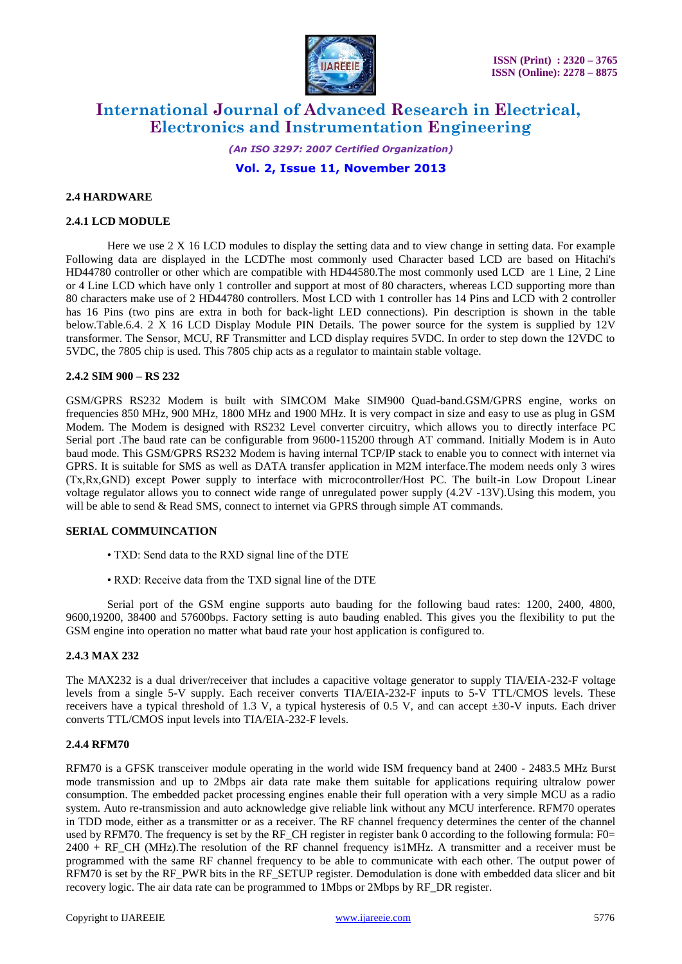

*(An ISO 3297: 2007 Certified Organization)* **Vol. 2, Issue 11, November 2013**

# **2.4 HARDWARE**

## **2.4.1 LCD MODULE**

Here we use 2 X 16 LCD modules to display the setting data and to view change in setting data. For example Following data are displayed in the LCDThe most commonly used Character based LCD are based on Hitachi's HD44780 controller or other which are compatible with HD44580.The most commonly used LCD are 1 Line, 2 Line or 4 Line LCD which have only 1 controller and support at most of 80 characters, whereas LCD supporting more than 80 characters make use of 2 HD44780 controllers. Most LCD with 1 controller has 14 Pins and LCD with 2 controller has 16 Pins (two pins are extra in both for back-light LED connections). Pin description is shown in the table below.Table.6.4. 2 X 16 LCD Display Module PIN Details. The power source for the system is supplied by 12V transformer. The Sensor, MCU, RF Transmitter and LCD display requires 5VDC. In order to step down the 12VDC to 5VDC, the 7805 chip is used. This 7805 chip acts as a regulator to maintain stable voltage.

## **2.4.2 SIM 900 – RS 232**

GSM/GPRS RS232 Modem is built with SIMCOM Make SIM900 Quad-band.GSM/GPRS engine, works on frequencies 850 MHz, 900 MHz, 1800 MHz and 1900 MHz. It is very compact in size and easy to use as plug in GSM Modem. The Modem is designed with RS232 Level converter circuitry, which allows you to directly interface PC Serial port .The baud rate can be configurable from 9600-115200 through AT command. Initially Modem is in Auto baud mode. This GSM/GPRS RS232 Modem is having internal TCP/IP stack to enable you to connect with internet via GPRS. It is suitable for SMS as well as DATA transfer application in M2M interface.The modem needs only 3 wires (Tx,Rx,GND) except Power supply to interface with microcontroller/Host PC. The built-in Low Dropout Linear voltage regulator allows you to connect wide range of unregulated power supply (4.2V -13V).Using this modem, you will be able to send & Read SMS, connect to internet via GPRS through simple AT commands.

#### **SERIAL COMMUINCATION**

- TXD: Send data to the RXD signal line of the DTE
- RXD: Receive data from the TXD signal line of the DTE

Serial port of the GSM engine supports auto bauding for the following baud rates: 1200, 2400, 4800, 9600,19200, 38400 and 57600bps. Factory setting is auto bauding enabled. This gives you the flexibility to put the GSM engine into operation no matter what baud rate your host application is configured to.

# **2.4.3 MAX 232**

The MAX232 is a dual driver/receiver that includes a capacitive voltage generator to supply TIA/EIA-232-F voltage levels from a single 5-V supply. Each receiver converts TIA/EIA-232-F inputs to 5-V TTL/CMOS levels. These receivers have a typical threshold of 1.3 V, a typical hysteresis of 0.5 V, and can accept  $\pm 30$ -V inputs. Each driver converts TTL/CMOS input levels into TIA/EIA-232-F levels.

# **2.4.4 RFM70**

RFM70 is a GFSK transceiver module operating in the world wide ISM frequency band at 2400 - 2483.5 MHz Burst mode transmission and up to 2Mbps air data rate make them suitable for applications requiring ultralow power consumption. The embedded packet processing engines enable their full operation with a very simple MCU as a radio system. Auto re-transmission and auto acknowledge give reliable link without any MCU interference. RFM70 operates in TDD mode, either as a transmitter or as a receiver. The RF channel frequency determines the center of the channel used by RFM70. The frequency is set by the RF CH register in register bank 0 according to the following formula: F0=  $2400 + RF$  CH (MHz).The resolution of the RF channel frequency is1MHz. A transmitter and a receiver must be programmed with the same RF channel frequency to be able to communicate with each other. The output power of RFM70 is set by the RF\_PWR bits in the RF\_SETUP register. Demodulation is done with embedded data slicer and bit recovery logic. The air data rate can be programmed to 1Mbps or 2Mbps by RF\_DR register.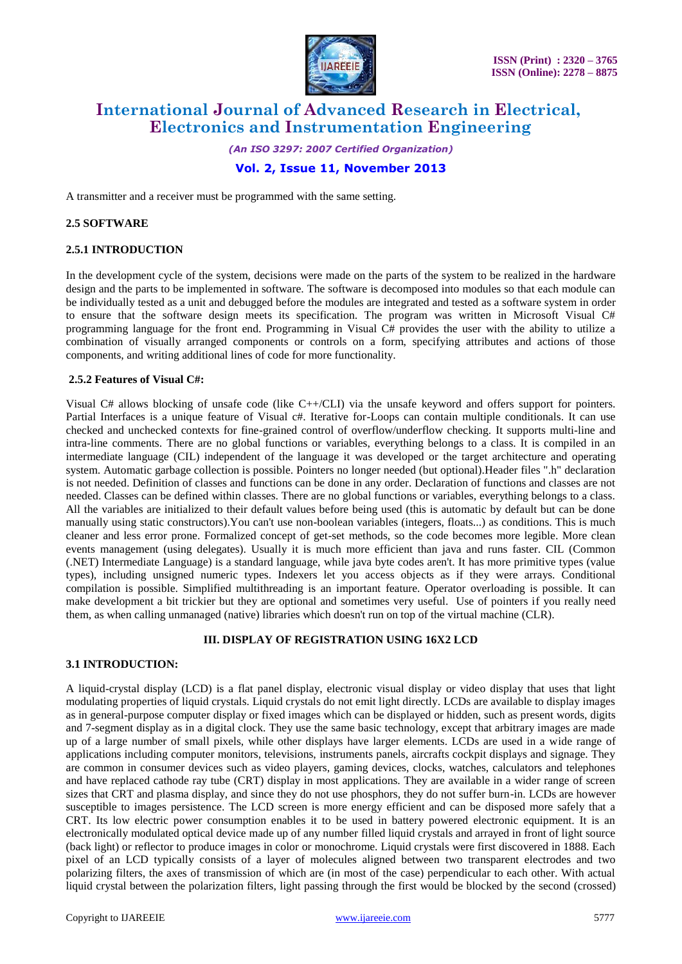

*(An ISO 3297: 2007 Certified Organization)* **Vol. 2, Issue 11, November 2013**

A transmitter and a receiver must be programmed with the same setting.

#### **2.5 SOFTWARE**

## **2.5.1 INTRODUCTION**

In the development cycle of the system, decisions were made on the parts of the system to be realized in the hardware design and the parts to be implemented in software. The software is decomposed into modules so that each module can be individually tested as a unit and debugged before the modules are integrated and tested as a software system in order to ensure that the software design meets its specification. The program was written in Microsoft Visual C# programming language for the front end. Programming in Visual C# provides the user with the ability to utilize a combination of visually arranged components or controls on a form, specifying attributes and actions of those components, and writing additional lines of code for more functionality.

## **2.5.2 Features of Visual C#:**

Visual C# allows blocking of unsafe code (like C++/CLI) via the unsafe keyword and offers support for pointers. Partial Interfaces is a unique feature of Visual c#. Iterative for-Loops can contain multiple conditionals. It can use checked and unchecked contexts for fine-grained control of overflow/underflow checking. It supports multi-line and intra-line comments. There are no global functions or variables, everything belongs to a class. It is compiled in an intermediate language (CIL) independent of the language it was developed or the target architecture and operating system. Automatic garbage collection is possible. Pointers no longer needed (but optional).Header files ".h" declaration is not needed. Definition of classes and functions can be done in any order. Declaration of functions and classes are not needed. Classes can be defined within classes. There are no global functions or variables, everything belongs to a class. All the variables are initialized to their default values before being used (this is automatic by default but can be done manually using static constructors).You can't use non-boolean variables (integers, floats...) as conditions. This is much cleaner and less error prone. Formalized concept of get-set methods, so the code becomes more legible. More clean events management (using delegates). Usually it is much more efficient than java and runs faster. CIL (Common (.NET) Intermediate Language) is a standard language, while java byte codes aren't. It has more primitive types (value types), including unsigned numeric types. Indexers let you access objects as if they were arrays. Conditional compilation is possible. Simplified multithreading is an important feature. Operator overloading is possible. It can make development a bit trickier but they are optional and sometimes very useful. Use of pointers if you really need them, as when calling unmanaged (native) libraries which doesn't run on top of the virtual machine (CLR).

# **III. DISPLAY OF REGISTRATION USING 16X2 LCD**

## **3.1 INTRODUCTION:**

A liquid-crystal display (LCD) is a flat panel display, electronic visual display or video display that uses that light modulating properties of liquid crystals. Liquid crystals do not emit light directly. LCDs are available to display images as in general-purpose computer display or fixed images which can be displayed or hidden, such as present words, digits and 7-segment display as in a digital clock. They use the same basic technology, except that arbitrary images are made up of a large number of small pixels, while other displays have larger elements. LCDs are used in a wide range of applications including computer monitors, televisions, instruments panels, aircrafts cockpit displays and signage. They are common in consumer devices such as video players, gaming devices, clocks, watches, calculators and telephones and have replaced cathode ray tube (CRT) display in most applications. They are available in a wider range of screen sizes that CRT and plasma display, and since they do not use phosphors, they do not suffer burn-in. LCDs are however susceptible to images persistence. The LCD screen is more energy efficient and can be disposed more safely that a CRT. Its low electric power consumption enables it to be used in battery powered electronic equipment. It is an electronically modulated optical device made up of any number filled liquid crystals and arrayed in front of light source (back light) or reflector to produce images in color or monochrome. Liquid crystals were first discovered in 1888. Each pixel of an LCD typically consists of a layer of molecules aligned between two transparent electrodes and two polarizing filters, the axes of transmission of which are (in most of the case) perpendicular to each other. With actual liquid crystal between the polarization filters, light passing through the first would be blocked by the second (crossed)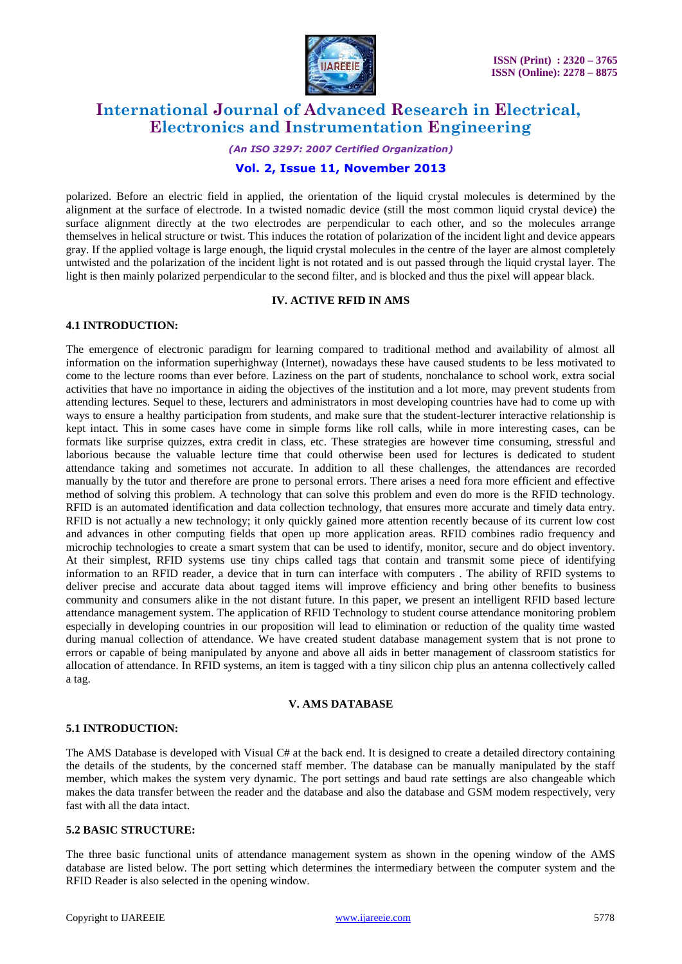

# *(An ISO 3297: 2007 Certified Organization)*

# **Vol. 2, Issue 11, November 2013**

polarized. Before an electric field in applied, the orientation of the liquid crystal molecules is determined by the alignment at the surface of electrode. In a twisted nomadic device (still the most common liquid crystal device) the surface alignment directly at the two electrodes are perpendicular to each other, and so the molecules arrange themselves in helical structure or twist. This induces the rotation of polarization of the incident light and device appears gray. If the applied voltage is large enough, the liquid crystal molecules in the centre of the layer are almost completely untwisted and the polarization of the incident light is not rotated and is out passed through the liquid crystal layer. The light is then mainly polarized perpendicular to the second filter, and is blocked and thus the pixel will appear black.

# **IV. ACTIVE RFID IN AMS**

# **4.1 INTRODUCTION:**

The emergence of electronic paradigm for learning compared to traditional method and availability of almost all information on the information superhighway (Internet), nowadays these have caused students to be less motivated to come to the lecture rooms than ever before. Laziness on the part of students, nonchalance to school work, extra social activities that have no importance in aiding the objectives of the institution and a lot more, may prevent students from attending lectures. Sequel to these, lecturers and administrators in most developing countries have had to come up with ways to ensure a healthy participation from students, and make sure that the student-lecturer interactive relationship is kept intact. This in some cases have come in simple forms like roll calls, while in more interesting cases, can be formats like surprise quizzes, extra credit in class, etc. These strategies are however time consuming, stressful and laborious because the valuable lecture time that could otherwise been used for lectures is dedicated to student attendance taking and sometimes not accurate. In addition to all these challenges, the attendances are recorded manually by the tutor and therefore are prone to personal errors. There arises a need fora more efficient and effective method of solving this problem. A technology that can solve this problem and even do more is the RFID technology. RFID is an automated identification and data collection technology, that ensures more accurate and timely data entry. RFID is not actually a new technology; it only quickly gained more attention recently because of its current low cost and advances in other computing fields that open up more application areas. RFID combines radio frequency and microchip technologies to create a smart system that can be used to identify, monitor, secure and do object inventory. At their simplest, RFID systems use tiny chips called tags that contain and transmit some piece of identifying information to an RFID reader, a device that in turn can interface with computers . The ability of RFID systems to deliver precise and accurate data about tagged items will improve efficiency and bring other benefits to business community and consumers alike in the not distant future. In this paper, we present an intelligent RFID based lecture attendance management system. The application of RFID Technology to student course attendance monitoring problem especially in developing countries in our proposition will lead to elimination or reduction of the quality time wasted during manual collection of attendance. We have created student database management system that is not prone to errors or capable of being manipulated by anyone and above all aids in better management of classroom statistics for allocation of attendance. In RFID systems, an item is tagged with a tiny silicon chip plus an antenna collectively called a tag.

#### **V. AMS DATABASE**

# **5.1 INTRODUCTION:**

The AMS Database is developed with Visual C# at the back end. It is designed to create a detailed directory containing the details of the students, by the concerned staff member. The database can be manually manipulated by the staff member, which makes the system very dynamic. The port settings and baud rate settings are also changeable which makes the data transfer between the reader and the database and also the database and GSM modem respectively, very fast with all the data intact.

# **5.2 BASIC STRUCTURE:**

The three basic functional units of attendance management system as shown in the opening window of the AMS database are listed below. The port setting which determines the intermediary between the computer system and the RFID Reader is also selected in the opening window.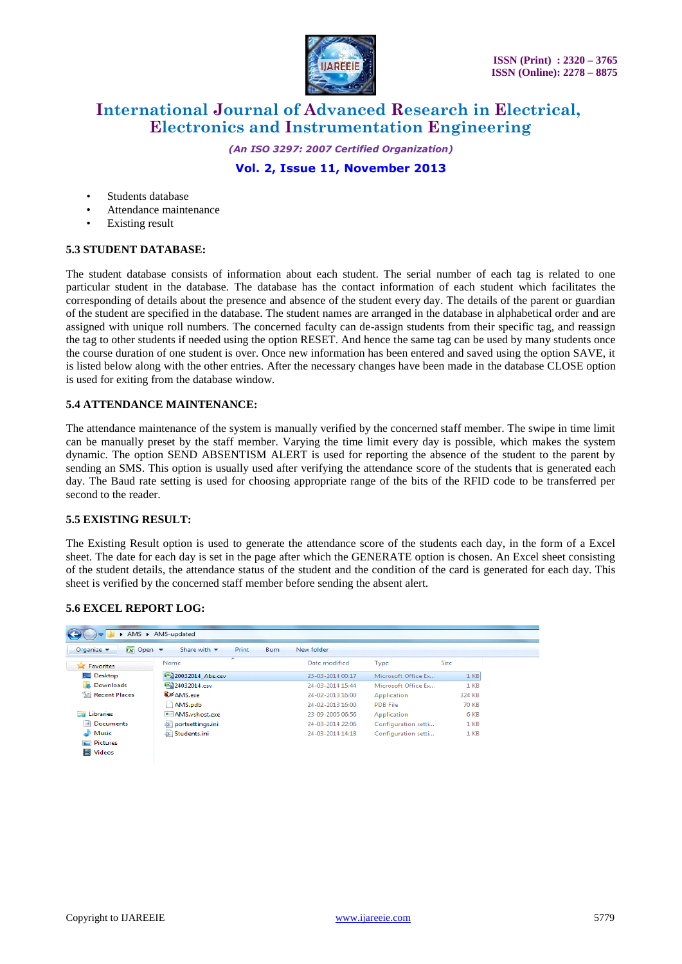

*(An ISO 3297: 2007 Certified Organization)* **Vol. 2, Issue 11, November 2013**

- Students database
- Attendance maintenance
- **Existing result**

# **5.3 STUDENT DATABASE:**

The student database consists of information about each student. The serial number of each tag is related to one particular student in the database. The database has the contact information of each student which facilitates the corresponding of details about the presence and absence of the student every day. The details of the parent or guardian of the student are specified in the database. The student names are arranged in the database in alphabetical order and are assigned with unique roll numbers. The concerned faculty can de-assign students from their specific tag, and reassign the tag to other students if needed using the option RESET. And hence the same tag can be used by many students once the course duration of one student is over. Once new information has been entered and saved using the option SAVE, it is listed below along with the other entries. After the necessary changes have been made in the database CLOSE option is used for exiting from the database window.

# **5.4 ATTENDANCE MAINTENANCE:**

The attendance maintenance of the system is manually verified by the concerned staff member. The swipe in time limit can be manually preset by the staff member. Varying the time limit every day is possible, which makes the system dynamic. The option SEND ABSENTISM ALERT is used for reporting the absence of the student to the parent by sending an SMS. This option is usually used after verifying the attendance score of the students that is generated each day. The Baud rate setting is used for choosing appropriate range of the bits of the RFID code to be transferred per second to the reader.

# **5.5 EXISTING RESULT:**

The Existing Result option is used to generate the attendance score of the students each day, in the form of a Excel sheet. The date for each day is set in the page after which the GENERATE option is chosen. An Excel sheet consisting of the student details, the attendance status of the student and the condition of the card is generated for each day. This sheet is verified by the concerned staff member before sending the absent alert.

# **5.6 EXCEL REPORT LOG:**

|                                          | AMS > AMS-updated                                       |                  |                     |                 |
|------------------------------------------|---------------------------------------------------------|------------------|---------------------|-----------------|
| $\sqrt{x}$ Open $\sqrt{x}$<br>Organize v | Print<br>Share with $\blacktriangledown$<br><b>Burn</b> | New folder       |                     |                 |
| Favorites                                | ×<br>Name                                               | Date modified    | Type                | <b>Size</b>     |
| Desktop                                  | [3] 20032014_Abs.csv                                    | 25-03-2014 00:17 | Microsoft Office Ex | $1$ KB          |
| Ъń.<br>Downloads                         | 图 24032014.csv                                          | 24-03-2014 15:44 | Microsoft Office Ex | 1 <sub>KB</sub> |
| 93<br><b>Recent Places</b>               | <b>D</b> AMS.exe                                        | 24-02-2013 16:00 | Application         | 324 KB          |
|                                          | AMS.pdb                                                 | 24-02-2013 16:00 | <b>PDB File</b>     | 70 KB           |
| 后<br>Libraries                           | <b>E</b> AMS.vshost.exe                                 | 23-09-2005 06:56 | Application         | 6 KB            |
| R<br><b>Documents</b>                    | portsettings.ini                                        | 24-03-2014 22:06 | Configuration setti | 1 <sub>KB</sub> |
| Music                                    | Students.ini                                            | 24-03-2014 14:18 | Configuration setti | 1 <sub>KB</sub> |
| <b>Pictures</b>                          |                                                         |                  |                     |                 |
| Ħ<br>Videos                              |                                                         |                  |                     |                 |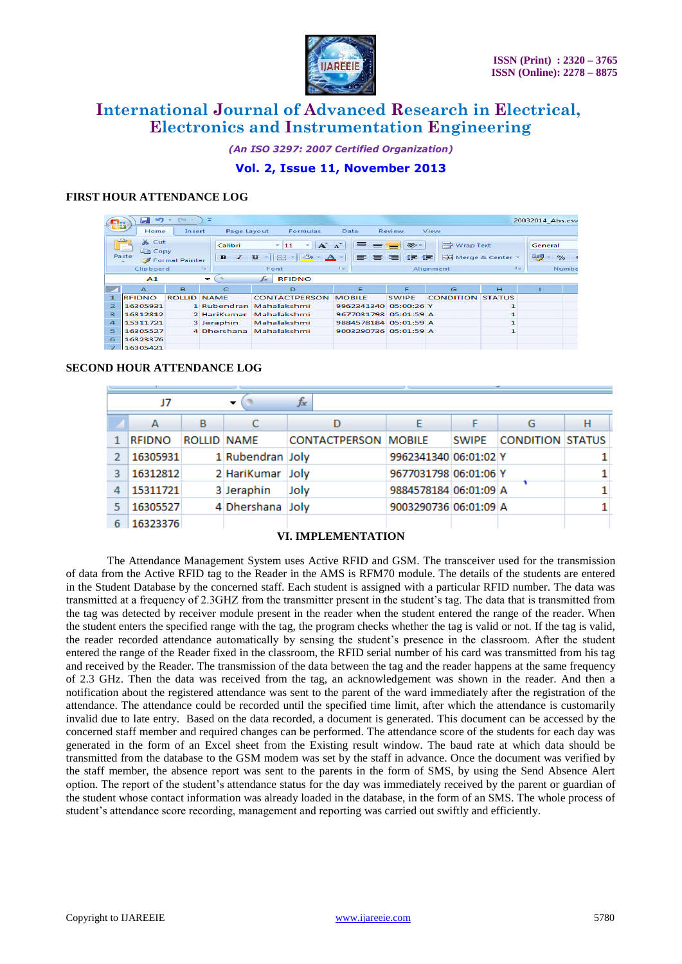

*(An ISO 3297: 2007 Certified Organization)*

# **Vol. 2, Issue 11, November 2013**

# **FIRST HOUR ATTENDANCE LOG**

| L!m                                                                                | <b>ATT</b><br>ایرا                | 8754               | $=$                                       |                                                                                                                                                                                                               |                       |              |                         |                                        | 20032014 Abs.csv |
|------------------------------------------------------------------------------------|-----------------------------------|--------------------|-------------------------------------------|---------------------------------------------------------------------------------------------------------------------------------------------------------------------------------------------------------------|-----------------------|--------------|-------------------------|----------------------------------------|------------------|
| Home<br>Page Lavout<br>Formulas<br>Data<br>View<br>Insert<br>Review                |                                   |                    |                                           |                                                                                                                                                                                                               |                       |              |                         |                                        |                  |
| والأشكس<br>& Cut<br><b>En Copy</b><br>Paste<br>Format Painter<br>TSI.<br>Clipboard |                                   |                    | Calibri<br>$\overline{I}$<br>$\mathbf{B}$ | $= -$<br><b>T</b> Wrap Text<br>$A^A$<br>$\mathcal{D}_{\mathcal{P}}$<br>÷<br>11<br>÷<br>中国<br>都 年<br>Merge & Center *<br>▄<br>$\mathbf{u}$<br>$\rightsquigarrow$<br>$\mathbf{A}$ -<br>TS.<br>Alianment<br>Font |                       |              | TS.                     | General<br>粤<br>$\frac{9}{6}$<br>Numbe |                  |
|                                                                                    | $f_x$<br><b>RFIDNO</b><br>A1<br>↽ |                    |                                           |                                                                                                                                                                                                               |                       |              |                         |                                        |                  |
|                                                                                    | $\triangleright$                  | в                  | $\mathsf{C}$                              | D                                                                                                                                                                                                             | Е                     | E            | G                       | H                                      |                  |
| $\mathbf{I}$                                                                       | <b>REIDNO</b>                     | <b>ROLLID NAME</b> |                                           | <b>CONTACTPERSON</b>                                                                                                                                                                                          | <b>MOBILE</b>         | <b>SWIPF</b> | <b>CONDITION STATUS</b> |                                        |                  |
| $\overline{2}$                                                                     | 16305931                          |                    | 1 Rubendran                               | Mahalakshmi                                                                                                                                                                                                   | 9962341340 05:00:26 Y |              |                         | ı                                      |                  |
| в                                                                                  | 16312812                          |                    | 2 HariKumar                               | Mahalakshmi                                                                                                                                                                                                   | 9677031798 05:01:59 A |              |                         | $\mathbf{1}$                           |                  |
| $\overline{a}$                                                                     | 15311721                          |                    | 3 Jeraphin                                | Mahalakshmi                                                                                                                                                                                                   | 9884578184 05:01:59 A |              |                         | 1                                      |                  |
| 5                                                                                  | 16305527                          |                    | 4 Dhershana                               | Mahalakshmi                                                                                                                                                                                                   | 9003290736 05:01:59 A |              |                         | 1                                      |                  |
| 6                                                                                  | 16323376                          |                    |                                           |                                                                                                                                                                                                               |                       |              |                         |                                        |                  |
|                                                                                    | 16305421                          |                    |                                           |                                                                                                                                                                                                               |                       |              |                         |                                        |                  |

# **SECOND HOUR ATTENDANCE LOG**

| J7<br>▼ |               |                    |                  | $f_x$                       |                       |              |                         |   |
|---------|---------------|--------------------|------------------|-----------------------------|-----------------------|--------------|-------------------------|---|
|         | А             | в                  |                  |                             |                       |              | G                       | н |
|         | <b>RFIDNO</b> | <b>ROLLID NAME</b> |                  | <b>CONTACTPERSON MOBILE</b> |                       | <b>SWIPE</b> | <b>CONDITION STATUS</b> |   |
|         | 16305931      |                    | 1 Rubendran Joly |                             | 9962341340 06:01:02 Y |              |                         |   |
| 3       | 16312812      |                    | 2 HariKumar Joly |                             | 9677031798 06:01:06 Y |              |                         |   |
| 4       | 15311721      |                    | 3 Jeraphin       | Joly                        | 9884578184 06:01:09 A |              |                         |   |
| 5       | 16305527      |                    | 4 Dhershana Joly |                             | 9003290736 06:01:09 A |              |                         |   |
| 6       | 16323376      |                    |                  |                             |                       |              |                         |   |

# **VI. IMPLEMENTATION**

The Attendance Management System uses Active RFID and GSM. The transceiver used for the transmission of data from the Active RFID tag to the Reader in the AMS is RFM70 module. The details of the students are entered in the Student Database by the concerned staff. Each student is assigned with a particular RFID number. The data was transmitted at a frequency of 2.3GHZ from the transmitter present in the student's tag. The data that is transmitted from the tag was detected by receiver module present in the reader when the student entered the range of the reader. When the student enters the specified range with the tag, the program checks whether the tag is valid or not. If the tag is valid, the reader recorded attendance automatically by sensing the student's presence in the classroom. After the student entered the range of the Reader fixed in the classroom, the RFID serial number of his card was transmitted from his tag and received by the Reader. The transmission of the data between the tag and the reader happens at the same frequency of 2.3 GHz. Then the data was received from the tag, an acknowledgement was shown in the reader. And then a notification about the registered attendance was sent to the parent of the ward immediately after the registration of the attendance. The attendance could be recorded until the specified time limit, after which the attendance is customarily invalid due to late entry. Based on the data recorded, a document is generated. This document can be accessed by the concerned staff member and required changes can be performed. The attendance score of the students for each day was generated in the form of an Excel sheet from the Existing result window. The baud rate at which data should be transmitted from the database to the GSM modem was set by the staff in advance. Once the document was verified by the staff member, the absence report was sent to the parents in the form of SMS, by using the Send Absence Alert option. The report of the student's attendance status for the day was immediately received by the parent or guardian of the student whose contact information was already loaded in the database, in the form of an SMS. The whole process of student's attendance score recording, management and reporting was carried out swiftly and efficiently.